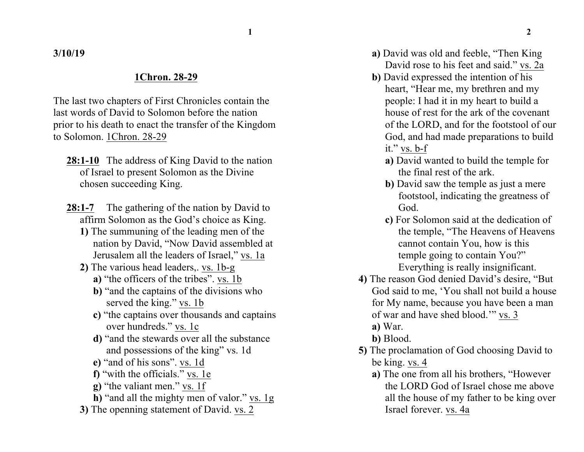**3/10/19**

## **1Chron. 28-29**

The last two chapters of First Chronicles contain the last words of David to Solomon before the nation prior to his death to enact the transfer of the Kingdom to Solomon. 1Chron. 28-29

- **28:1-10** The address of King David to the nation of Israel to present Solomon as the Divine chosen succeeding King.
- 28:1-7 The gathering of the nation by David to affirm Solomon as the God's choice as King.
	- **1)** The summuning of the leading men of the nation by David, "Now David assembled at Jerusalem all the leaders of Israel," vs. 1a
	- **2)** The various head leaders,. vs. 1b-g
		- **a)** "the officers of the tribes". vs. 1b
		- **b)** "and the captains of the divisions who served the king." vs. 1b
		- **c)** "the captains over thousands and captains over hundreds." vs. 1c
		- **d)** "and the stewards over all the substance and possessions of the king" vs. 1d
		- **e)** "and of his sons". vs. 1d
		- **f)** "with the officials." vs. 1e
		- **g)** "the valiant men." vs. 1f
		- **h)** "and all the mighty men of valor." vs. 1g
	- **3)** The openning statement of David. vs. 2
- **a)** David was old and feeble, "Then King David rose to his feet and said." vs. 2a
- **b)** David expressed the intention of his heart, "Hear me, my brethren and my people: I had it in my heart to build a house of rest for the ark of the covenant of the LORD, and for the footstool of our God, and had made preparations to build it." vs. b-f
	- **a)** David wanted to build the temple for the final rest of the ark.
	- **b)** David saw the temple as just a mere footstool, indicating the greatness of God.
	- **c)** For Solomon said at the dedication of the temple, "The Heavens of Heavens cannot contain You, how is this temple going to contain You?" Everything is really insignificant.
- **4)** The reason God denied David's desire, "But God said to me, 'You shall not build a house for My name, because you have been a man of war and have shed blood.'" vs. 3
	- **a)** War.
	- **b)** Blood.
- **5)** The proclamation of God choosing David to be king. vs. 4
	- **a)** The one from all his brothers, "However the LORD God of Israel chose me above all the house of my father to be king over Israel forever. vs. 4a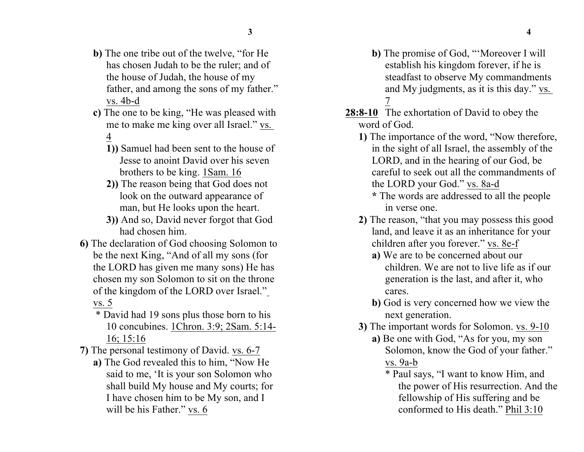- **b)** The one tribe out of the twelve, "for He has chosen Judah to be the ruler; and of the house of Judah, the house of my father, and among the sons of my father." vs. 4b-d
- **c)** The one to be king, "He was pleased with me to make me king over all Israel." vs. 4
	- **1))** Samuel had been sent to the house of Jesse to anoint David over his seven brothers to be king. 1Sam. 16
	- **2))** The reason being that God does not look on the outward appearance of man, but He looks upon the heart.
	- **3))** And so, David never forgot that God had chosen him.
- **6)** The declaration of God choosing Solomon to be the next King, "And of all my sons (for the LORD has given me many sons) He has chosen my son Solomon to sit on the throne of the kingdom of the LORD over Israel." vs. 5
	- \* David had 19 sons plus those born to his 10 concubines. 1Chron. 3:9; 2Sam. 5:14- 16; 15:16
- **7)** The personal testimony of David. vs. 6-7
	- **a)** The God revealed this to him, "Now He said to me, 'It is your son Solomon who shall build My house and My courts; for I have chosen him to be My son, and I will be his Father." vs. 6
- **b)** The promise of God, "'Moreover I will establish his kingdom forever, if he is steadfast to observe My commandments and My judgments, as it is this day." vs. 7
- **28:8-10** The exhortation of David to obey the word of God.
	- **1)** The importance of the word, "Now therefore, in the sight of all Israel, the assembly of the LORD, and in the hearing of our God, be careful to seek out all the commandments of the LORD your God." vs. 8a-d
		- **\*** The words are addressed to all the people in verse one.
	- **2)** The reason, "that you may possess this good land, and leave it as an inheritance for your children after you forever." vs. 8e-f
		- **a)** We are to be concerned about our children. We are not to live life as if our generation is the last, and after it, who cares.
		- **b)** God is very concerned how we view the next generation.
	- **3)** The important words for Solomon. vs. 9-10
		- **a)** Be one with God, "As for you, my son Solomon, know the God of your father." vs. 9a-b
			- \* Paul says, "I want to know Him, and the power of His resurrection. And the fellowship of His suffering and be conformed to His death." Phil 3:10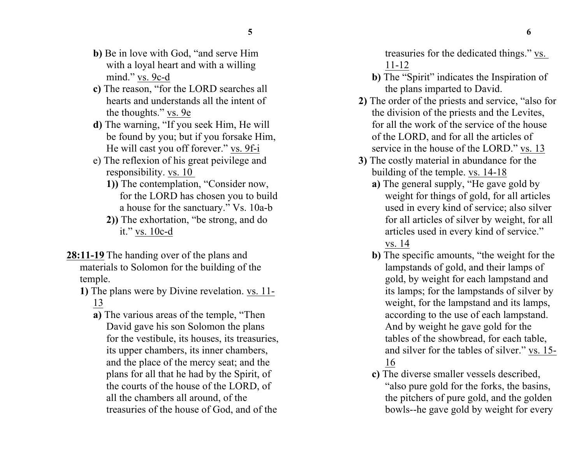- **b)** Be in love with God, "and serve Him with a loyal heart and with a willing mind." vs. 9c-d
- **c)** The reason, "for the LORD searches all hearts and understands all the intent of the thoughts." vs. 9e
- **d)** The warning, "If you seek Him, He will be found by you; but if you forsake Him, He will cast you off forever." vs. 9f-i
- e) The reflexion of his great peivilege and responsibility. vs. 10
	- **1))** The contemplation, "Consider now, for the LORD has chosen you to build a house for the sanctuary." Vs. 10a-b
	- **2))** The exhortation, "be strong, and do it." vs. 10c-d
- **28:11-19** The handing over of the plans and materials to Solomon for the building of the temple.
	- **1)** The plans were by Divine revelation. vs. 11- 13
		- **a)** The various areas of the temple, "Then David gave his son Solomon the plans for the vestibule, its houses, its treasuries, its upper chambers, its inner chambers, and the place of the mercy seat; and the plans for all that he had by the Spirit, of the courts of the house of the LORD, of all the chambers all around, of the treasuries of the house of God, and of the

treasuries for the dedicated things." vs. 11-12

- **b)** The "Spirit" indicates the Inspiration of the plans imparted to David.
- **2)** The order of the priests and service, "also for the division of the priests and the Levites, for all the work of the service of the house of the LORD, and for all the articles of service in the house of the LORD." vs. 13
- **3)** The costly material in abundance for the building of the temple. vs. 14-18
	- **a)** The general supply, "He gave gold by weight for things of gold, for all articles used in every kind of service; also silver for all articles of silver by weight, for all articles used in every kind of service." vs. 14
	- **b)** The specific amounts, "the weight for the lampstands of gold, and their lamps of gold, by weight for each lampstand and its lamps; for the lampstands of silver by weight, for the lampstand and its lamps, according to the use of each lampstand. And by weight he gave gold for the tables of the showbread, for each table, and silver for the tables of silver." vs. 15- 16
	- **c)** The diverse smaller vessels described, "also pure gold for the forks, the basins, the pitchers of pure gold, and the golden bowls--he gave gold by weight for every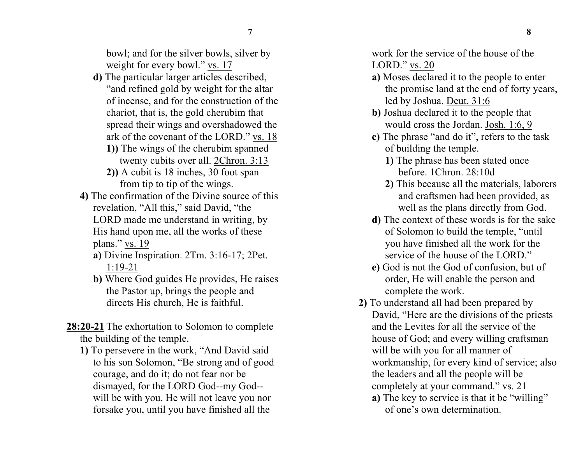bowl; and for the silver bowls, silver by weight for every bowl." vs. 17

- **d)** The particular larger articles described, "and refined gold by weight for the altar of incense, and for the construction of the chariot, that is, the gold cherubim that spread their wings and overshadowed the ark of the covenant of the LORD." vs. 18
	- **1))** The wings of the cherubim spanned twenty cubits over all. 2Chron. 3:13
	- **2))** A cubit is 18 inches, 30 foot span from tip to tip of the wings.
- **4)** The confirmation of the Divine source of this revelation, "All this," said David, "the LORD made me understand in writing, by His hand upon me, all the works of these plans." vs. 19
	- **a)** Divine Inspiration. 2Tm. 3:16-17; 2Pet. 1:19-21
	- **b)** Where God guides He provides, He raises the Pastor up, brings the people and directs His church, He is faithful.
- **28:20-21** The exhortation to Solomon to complete the building of the temple.
	- **1)** To persevere in the work, "And David said to his son Solomon, "Be strong and of good courage, and do it; do not fear nor be dismayed, for the LORD God--my God- will be with you. He will not leave you nor forsake you, until you have finished all the

work for the service of the house of the LORD." vs. 20

- **a)** Moses declared it to the people to enter the promise land at the end of forty years, led by Joshua. Deut. 31:6
- **b)** Joshua declared it to the people that would cross the Jordan. Josh. 1:6, 9
- **c)** The phrase "and do it", refers to the task of building the temple.
	- **1)** The phrase has been stated once before. 1Chron. 28:10d
	- **2)** This because all the materials, laborers and craftsmen had been provided, as well as the plans directly from God.
- **d)** The context of these words is for the sake of Solomon to build the temple, "until you have finished all the work for the service of the house of the LORD."
- **e)** God is not the God of confusion, but of order, He will enable the person and complete the work.
- **2)** To understand all had been prepared by David, "Here are the divisions of the priests and the Levites for all the service of the house of God; and every willing craftsman will be with you for all manner of workmanship, for every kind of service; also the leaders and all the people will be completely at your command." vs. 21
	- **a)** The key to service is that it be "willing" of one's own determination.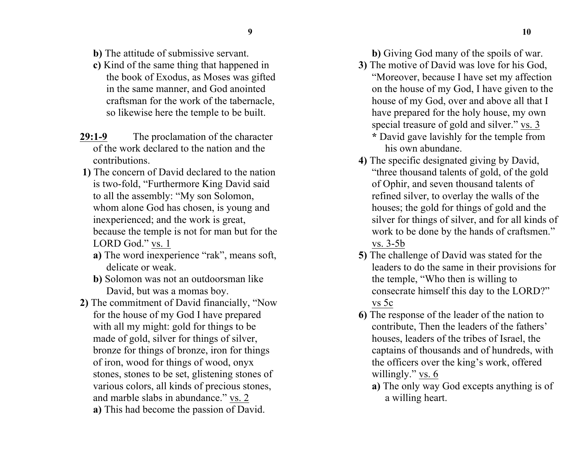- **b)** The attitude of submissive servant.
- **c)** Kind of the same thing that happened in the book of Exodus, as Moses was gifted in the same manner, and God anointed craftsman for the work of the tabernacle, so likewise here the temple to be built.
- **29:1-9** The proclamation of the character of the work declared to the nation and the contributions.
- **1)** The concern of David declared to the nation is two-fold, "Furthermore King David said to all the assembly: "My son Solomon, whom alone God has chosen, is young and inexperienced; and the work is great, because the temple is not for man but for the LORD God." vs. 1
	- **a)** The word inexperience "rak", means soft, delicate or weak.
	- **b)** Solomon was not an outdoorsman like David, but was a momas boy.
- **2)** The commitment of David financially, "Now for the house of my God I have prepared with all my might: gold for things to be made of gold, silver for things of silver, bronze for things of bronze, iron for things of iron, wood for things of wood, onyx stones, stones to be set, glistening stones of various colors, all kinds of precious stones, and marble slabs in abundance." vs. 2 **a)** This had become the passion of David.

**b)** Giving God many of the spoils of war.

**3)** The motive of David was love for his God, "Moreover, because I have set my affection on the house of my God, I have given to the house of my God, over and above all that I have prepared for the holy house, my own special treasure of gold and silver." vs. 3 **\*** David gave lavishly for the temple from

his own abundane.

- **4)** The specific designated giving by David, "three thousand talents of gold, of the gold of Ophir, and seven thousand talents of refined silver, to overlay the walls of the houses; the gold for things of gold and the silver for things of silver, and for all kinds of work to be done by the hands of craftsmen." vs. 3-5b
- **5)** The challenge of David was stated for the leaders to do the same in their provisions for the temple, "Who then is willing to consecrate himself this day to the LORD?" vs 5c
- **6)** The response of the leader of the nation to contribute, Then the leaders of the fathers' houses, leaders of the tribes of Israel, the captains of thousands and of hundreds, with the officers over the king's work, offered willingly." vs. 6
	- **a)** The only way God excepts anything is of a willing heart.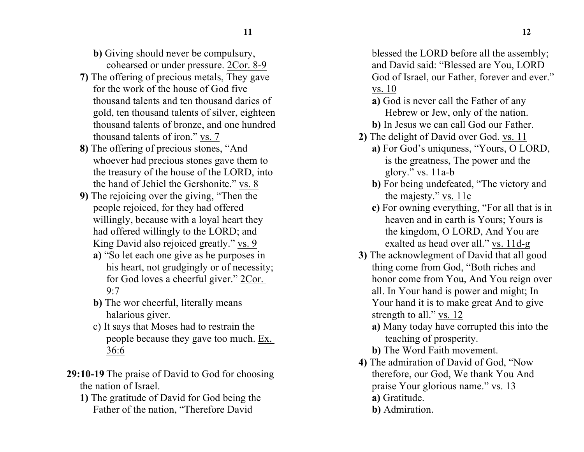- **b)** Giving should never be compulsury, cohearsed or under pressure. 2Cor. 8-9
- **7)** The offering of precious metals, They gave for the work of the house of God five thousand talents and ten thousand darics of gold, ten thousand talents of silver, eighteen thousand talents of bronze, and one hundred thousand talents of iron." vs. 7
- **8)** The offering of precious stones, "And whoever had precious stones gave them to the treasury of the house of the LORD, into the hand of Jehiel the Gershonite." vs. 8
- **9)** The rejoicing over the giving, "Then the people rejoiced, for they had offered willingly, because with a loyal heart they had offered willingly to the LORD; and King David also rejoiced greatly." vs. 9
	- **a)** "So let each one give as he purposes in his heart, not grudgingly or of necessity; for God loves a cheerful giver." 2Cor. 9:7
	- **b)** The wor cheerful, literally means halarious giver.
	- c) It says that Moses had to restrain the people because they gave too much. Ex. 36:6
- **29:10-19** The praise of David to God for choosing the nation of Israel.
	- **1)** The gratitude of David for God being the Father of the nation, "Therefore David

blessed the LORD before all the assembly; and David said: "Blessed are You, LORD God of Israel, our Father, forever and ever." vs. 10

- **a)** God is never call the Father of any Hebrew or Jew, only of the nation.
- **b)** In Jesus we can call God our Father.
- **2)** The delight of David over God. vs. 11 **a)** For God's uniquness, "Yours, O LORD, is the greatness, The power and the glory." vs. 11a-b
	- **b)** For being undefeated, "The victory and the majesty." vs. 11c
	- **c)** For owning everything, "For all that is in heaven and in earth is Yours; Yours is the kingdom, O LORD, And You are exalted as head over all." vs. 11d-g
- **3)** The acknowlegment of David that all good thing come from God, "Both riches and honor come from You, And You reign over all. In Your hand is power and might; In Your hand it is to make great And to give strength to all." vs. 12
	- **a)** Many today have corrupted this into the teaching of prosperity.
	- **b)** The Word Faith movement.
- **4)** The admiration of David of God, "Now therefore, our God, We thank You And praise Your glorious name." vs. 13
	- **a)** Gratitude.
	- **b)** Admiration.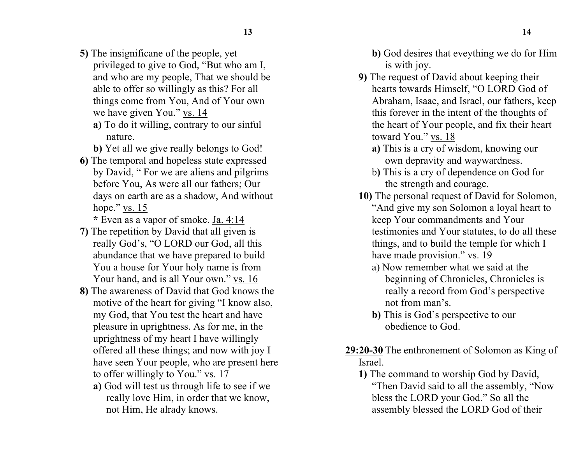- **5)** The insignificane of the people, yet privileged to give to God, "But who am I, and who are my people, That we should be able to offer so willingly as this? For all things come from You, And of Your own we have given You." vs. 14
	- **a)** To do it willing, contrary to our sinful nature.
	- **b)** Yet all we give really belongs to God!
- **6)** The temporal and hopeless state expressed by David, " For we are aliens and pilgrims before You, As were all our fathers; Our days on earth are as a shadow, And without hope." vs. 15

**\*** Even as a vapor of smoke. Ja. 4:14

- **7)** The repetition by David that all given is really God's, "O LORD our God, all this abundance that we have prepared to build You a house for Your holy name is from Your hand, and is all Your own." vs. 16
- **8)** The awareness of David that God knows the motive of the heart for giving "I know also, my God, that You test the heart and have pleasure in uprightness. As for me, in the uprightness of my heart I have willingly offered all these things; and now with joy I have seen Your people, who are present here to offer willingly to You." vs. 17
	- **a)** God will test us through life to see if we really love Him, in order that we know, not Him, He alrady knows.
- **b)** God desires that eveything we do for Him is with joy.
- **9)** The request of David about keeping their hearts towards Himself, "O LORD God of Abraham, Isaac, and Israel, our fathers, keep this forever in the intent of the thoughts of the heart of Your people, and fix their heart toward You." vs. 18
	- **a)** This is a cry of wisdom, knowing our own depravity and waywardness.
	- b**)** This is a cry of dependence on God for the strength and courage.
- **10)** The personal request of David for Solomon, "And give my son Solomon a loyal heart to keep Your commandments and Your testimonies and Your statutes, to do all these things, and to build the temple for which I have made provision." vs. 19
	- a) Now remember what we said at the beginning of Chronicles, Chronicles is really a record from God's perspective not from man's.
	- **b)** This is God's perspective to our obedience to God.
- **29:20-30** The enthronement of Solomon as King of Israel.
	- **1)** The command to worship God by David, "Then David said to all the assembly, "Now bless the LORD your God." So all the assembly blessed the LORD God of their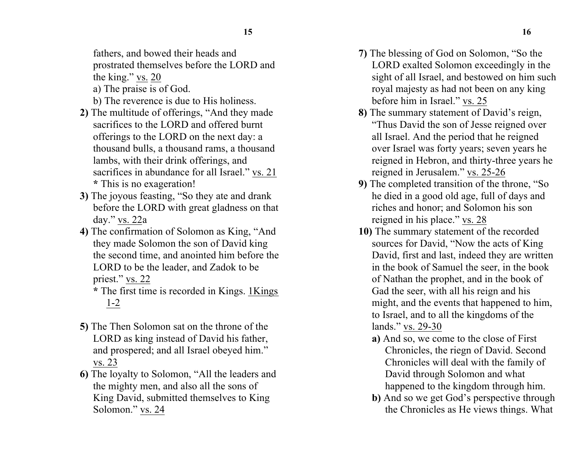fathers, and bowed their heads and prostrated themselves before the LORD and the king." vs. 20

- a) The praise is of God.
- b) The reverence is due to His holiness.
- **2)** The multitude of offerings, "And they made sacrifices to the LORD and offered burnt offerings to the LORD on the next day: a thousand bulls, a thousand rams, a thousand lambs, with their drink offerings, and sacrifices in abundance for all Israel." vs. 21 **\*** This is no exageration!
- **3)** The joyous feasting, "So they ate and drank before the LORD with great gladness on that day." vs. 22a
- **4)** The confirmation of Solomon as King, "And they made Solomon the son of David king the second time, and anointed him before the LORD to be the leader, and Zadok to be priest." vs. 22
	- **\*** The first time is recorded in Kings. 1Kings 1-2
- **5)** The Then Solomon sat on the throne of the LORD as king instead of David his father, and prospered; and all Israel obeyed him." vs. 23
- **6)** The loyalty to Solomon, "All the leaders and the mighty men, and also all the sons of King David, submitted themselves to King Solomon." vs. 24
- **7)** The blessing of God on Solomon, "So the LORD exalted Solomon exceedingly in the sight of all Israel, and bestowed on him such royal majesty as had not been on any king before him in Israel." vs. 25
- **8)** The summary statement of David's reign, "Thus David the son of Jesse reigned over all Israel. And the period that he reigned over Israel was forty years; seven years he reigned in Hebron, and thirty-three years he reigned in Jerusalem." vs. 25-26
- **9)** The completed transition of the throne, "So he died in a good old age, full of days and riches and honor; and Solomon his son reigned in his place." vs. 28
- **10)** The summary statement of the recorded sources for David, "Now the acts of King David, first and last, indeed they are written in the book of Samuel the seer, in the book of Nathan the prophet, and in the book of Gad the seer, with all his reign and his might, and the events that happened to him, to Israel, and to all the kingdoms of the lands." vs. 29-30
	- **a)** And so, we come to the close of First Chronicles, the riegn of David. Second Chronicles will deal with the family of David through Solomon and what happened to the kingdom through him.
	- **b)** And so we get God's perspective through the Chronicles as He views things. What